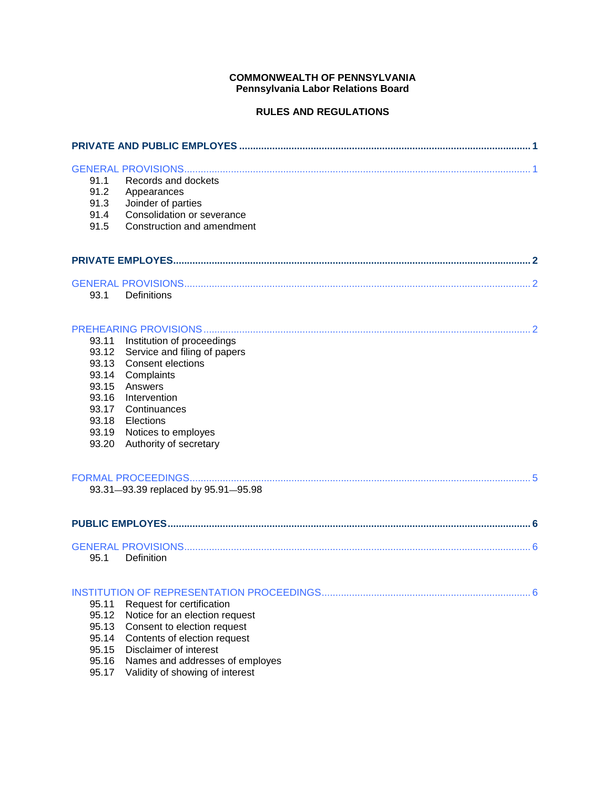# **COMMONWEALTH OF PENNSYLVANIA Pennsylvania Labor Relations Board**

# **RULES AND REGULATIONS**

| 91.1           | Records and dockets                                    |
|----------------|--------------------------------------------------------|
| 91.2           | Appearances                                            |
| 91.3           | Joinder of parties<br>Consolidation or severance       |
| 91.4<br>91.5   | Construction and amendment                             |
|                |                                                        |
|                |                                                        |
|                |                                                        |
| 93.1           | Definitions                                            |
|                |                                                        |
| 93.11          | Institution of proceedings                             |
| 93.12          | Service and filing of papers                           |
| 93.13          | <b>Consent elections</b>                               |
| 93.14          | Complaints                                             |
| 93.15          | Answers                                                |
| 93.16          | Intervention                                           |
| 93.17<br>93.18 | Continuances                                           |
| 93.19          | Elections<br>Notices to employes                       |
| 93.20          | Authority of secretary                                 |
|                |                                                        |
|                | 93.31-93.39 replaced by 95.91-95.98                    |
|                |                                                        |
|                |                                                        |
| 95.1           | Definition                                             |
|                |                                                        |
| 95.11          | Request for certification                              |
| 95.12          | Notice for an election request                         |
| 95.13          | Consent to election request                            |
| 95.14<br>95.15 | Contents of election request<br>Disclaimer of interest |
| 95.16          | Names and addresses of employes                        |
| 95.17          | Validity of showing of interest                        |
|                |                                                        |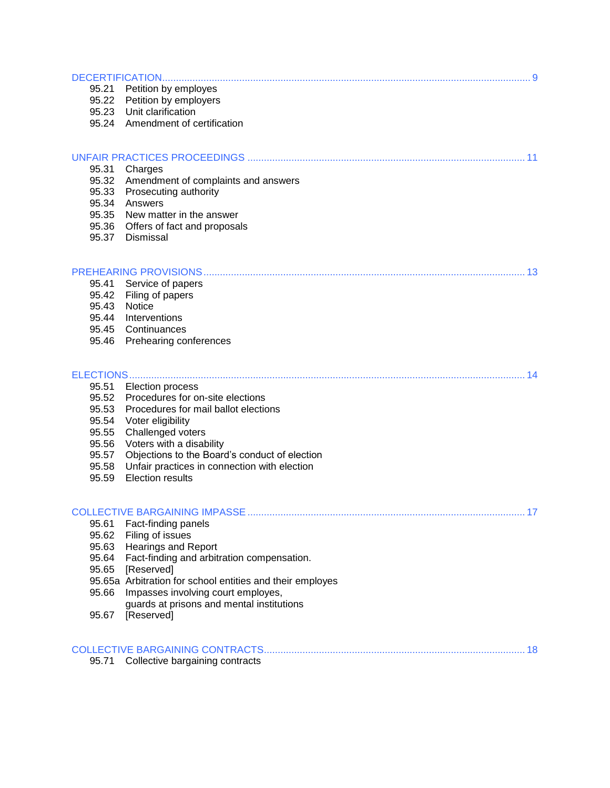| 95.21          | Petition by employes                                      |  |
|----------------|-----------------------------------------------------------|--|
|                | 95.22 Petition by employers                               |  |
|                | 95.23 Unit clarification                                  |  |
|                | 95.24 Amendment of certification                          |  |
|                |                                                           |  |
|                |                                                           |  |
|                | 95.31 Charges                                             |  |
|                | 95.32 Amendment of complaints and answers                 |  |
|                | 95.33 Prosecuting authority<br>95.34 Answers              |  |
|                | 95.35 New matter in the answer                            |  |
|                | 95.36 Offers of fact and proposals                        |  |
| 95.37          | Dismissal                                                 |  |
|                |                                                           |  |
|                | 95.41 Service of papers                                   |  |
| 95.42          | Filing of papers                                          |  |
| 95.43          | Notice                                                    |  |
|                | 95.44 Interventions                                       |  |
|                | 95.45 Continuances                                        |  |
|                | 95.46 Prehearing conferences                              |  |
|                |                                                           |  |
|                | <b>ELECTIONS</b>                                          |  |
| 95.51          | <b>Election process</b>                                   |  |
| 95.52          | Procedures for on-site elections                          |  |
| 95.53<br>95.54 | Procedures for mail ballot elections<br>Voter eligibility |  |
| 95.55          | Challenged voters                                         |  |
| 95.56          | Voters with a disability                                  |  |
| 95.57          | Objections to the Board's conduct of election             |  |
| 95.58          | Unfair practices in connection with election              |  |
| 95.59          | <b>Election results</b>                                   |  |
|                |                                                           |  |
|                |                                                           |  |
| 95.61<br>95.62 | Fact-finding panels<br>Filing of issues                   |  |
| 95.63          | <b>Hearings and Report</b>                                |  |
| 95.64          | Fact-finding and arbitration compensation.                |  |
| 95.65          | [Reserved]                                                |  |
|                | 95.65a Arbitration for school entities and their employes |  |
| 95.66          | Impasses involving court employes,                        |  |
|                | guards at prisons and mental institutions                 |  |
| 95.67          | [Reserved]                                                |  |
|                |                                                           |  |
| 95.71          | Collective bargaining contracts                           |  |
|                |                                                           |  |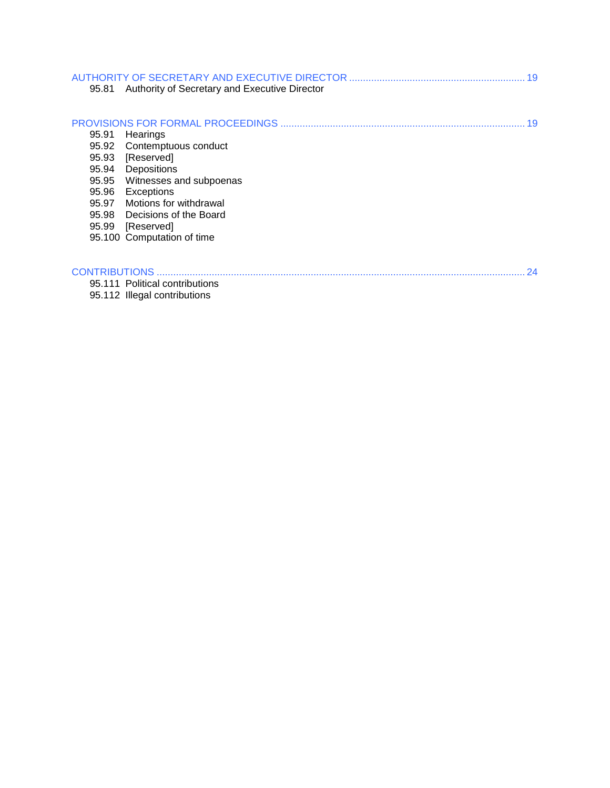| 95.81 | Authority of Secretary and Executive Director |  |
|-------|-----------------------------------------------|--|
| 95.91 | Hearings<br>95.92 Contemptuous conduct        |  |
|       | 95.93 [Reserved]                              |  |
|       | 95.94 Depositions                             |  |
|       | 95.95 Witnesses and subpoenas                 |  |
| 95.96 | Exceptions                                    |  |
|       | 95.97 Motions for withdrawal                  |  |
|       | 95.98 Decisions of the Board                  |  |
|       | 95.99 [Reserved]                              |  |
|       | 95.100 Computation of time                    |  |
|       | 24                                            |  |
|       | 95.111 Political contributions                |  |
|       | 95.112 Illegal contributions                  |  |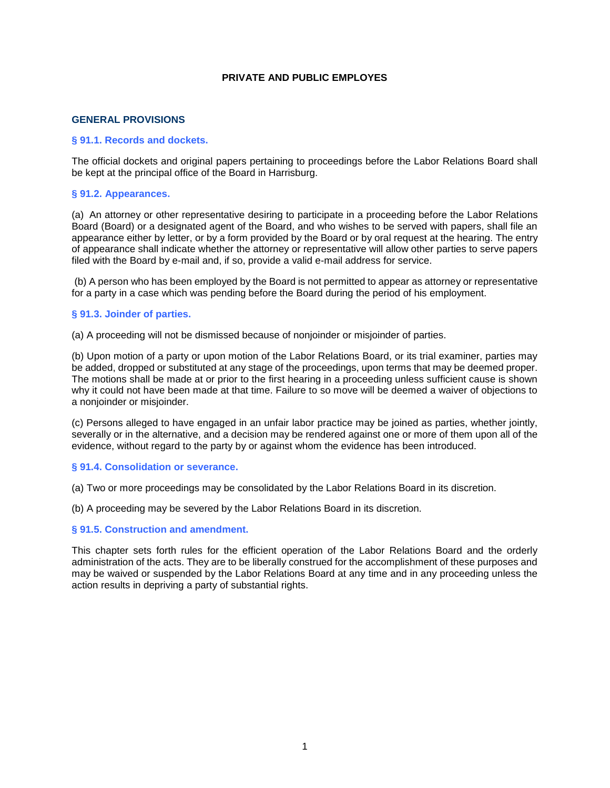### **PRIVATE AND PUBLIC EMPLOYES**

### **GENERAL PROVISIONS**

### <span id="page-3-0"></span>**§ 91.1. Records and dockets.**

The official dockets and original papers pertaining to proceedings before the Labor Relations Board shall be kept at the principal office of the Board in Harrisburg.

### **§ 91.2. Appearances.**

(a) An attorney or other representative desiring to participate in a proceeding before the Labor Relations Board (Board) or a designated agent of the Board, and who wishes to be served with papers, shall file an appearance either by letter, or by a form provided by the Board or by oral request at the hearing. The entry of appearance shall indicate whether the attorney or representative will allow other parties to serve papers filed with the Board by e-mail and, if so, provide a valid e-mail address for service.

(b) A person who has been employed by the Board is not permitted to appear as attorney or representative for a party in a case which was pending before the Board during the period of his employment.

#### **§ 91.3. Joinder of parties.**

(a) A proceeding will not be dismissed because of nonjoinder or misjoinder of parties.

(b) Upon motion of a party or upon motion of the Labor Relations Board, or its trial examiner, parties may be added, dropped or substituted at any stage of the proceedings, upon terms that may be deemed proper. The motions shall be made at or prior to the first hearing in a proceeding unless sufficient cause is shown why it could not have been made at that time. Failure to so move will be deemed a waiver of objections to a nonjoinder or misjoinder.

(c) Persons alleged to have engaged in an unfair labor practice may be joined as parties, whether jointly, severally or in the alternative, and a decision may be rendered against one or more of them upon all of the evidence, without regard to the party by or against whom the evidence has been introduced.

#### **§ 91.4. Consolidation or severance.**

(a) Two or more proceedings may be consolidated by the Labor Relations Board in its discretion.

(b) A proceeding may be severed by the Labor Relations Board in its discretion.

### **§ 91.5. Construction and amendment.**

This chapter sets forth rules for the efficient operation of the Labor Relations Board and the orderly administration of the acts. They are to be liberally construed for the accomplishment of these purposes and may be waived or suspended by the Labor Relations Board at any time and in any proceeding unless the action results in depriving a party of substantial rights.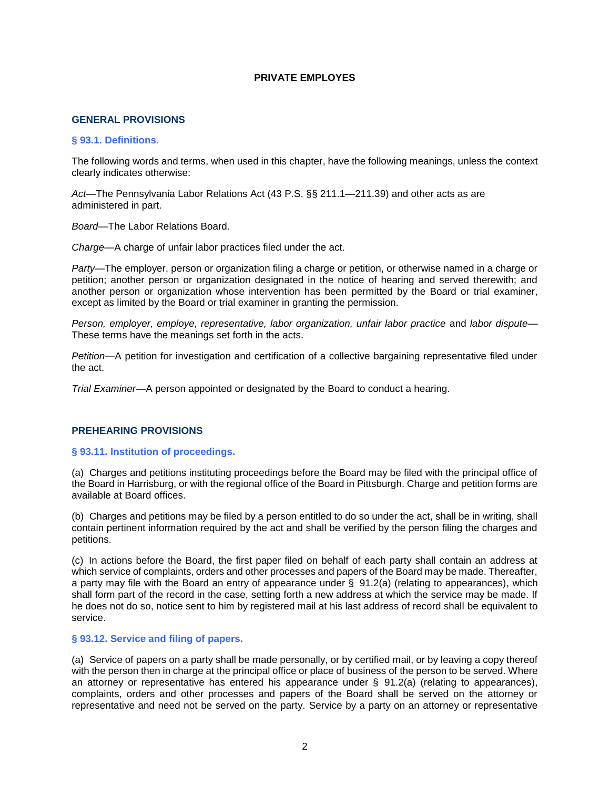### **PRIVATE EMPLOYES**

#### **GENERAL PROVISIONS**

#### <span id="page-4-0"></span>**§ 93.1. Definitions.**

The following words and terms, when used in this chapter, have the following meanings, unless the context clearly indicates otherwise:

*Act*—The Pennsylvania Labor Relations Act (43 P.S. §§ 211.1—211.39) and other acts as are administered in part.

*Board*—The Labor Relations Board.

*Charge*—A charge of unfair labor practices filed under the act.

*Party*—The employer, person or organization filing a charge or petition, or otherwise named in a charge or petition; another person or organization designated in the notice of hearing and served therewith; and another person or organization whose intervention has been permitted by the Board or trial examiner, except as limited by the Board or trial examiner in granting the permission.

*Person, employer, employe, representative, labor organization, unfair labor practice* and *labor dispute*— These terms have the meanings set forth in the acts.

*Petition*—A petition for investigation and certification of a collective bargaining representative filed under the act.

*Trial Examiner*—A person appointed or designated by the Board to conduct a hearing.

### **PREHEARING PROVISIONS**

### <span id="page-4-1"></span>**§ 93.11. Institution of proceedings.**

(a) Charges and petitions instituting proceedings before the Board may be filed with the principal office of the Board in Harrisburg, or with the regional office of the Board in Pittsburgh. Charge and petition forms are available at Board offices.

(b) Charges and petitions may be filed by a person entitled to do so under the act, shall be in writing, shall contain pertinent information required by the act and shall be verified by the person filing the charges and petitions.

(c) In actions before the Board, the first paper filed on behalf of each party shall contain an address at which service of complaints, orders and other processes and papers of the Board may be made. Thereafter, a party may file with the Board an entry of appearance under § 91.2(a) (relating to appearances), which shall form part of the record in the case, setting forth a new address at which the service may be made. If he does not do so, notice sent to him by registered mail at his last address of record shall be equivalent to service.

### **§ 93.12. Service and filing of papers.**

(a) Service of papers on a party shall be made personally, or by certified mail, or by leaving a copy thereof with the person then in charge at the principal office or place of business of the person to be served. Where an attorney or representative has entered his appearance under § 91.2(a) (relating to appearances), complaints, orders and other processes and papers of the Board shall be served on the attorney or representative and need not be served on the party. Service by a party on an attorney or representative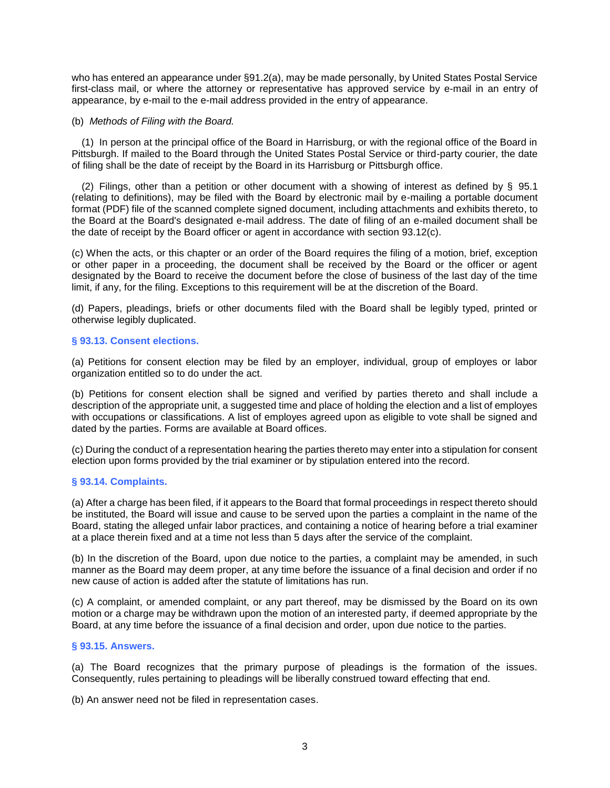who has entered an appearance under §91.2(a), may be made personally, by United States Postal Service first-class mail, or where the attorney or representative has approved service by e-mail in an entry of appearance, by e-mail to the e-mail address provided in the entry of appearance.

### (b) *Methods of Filing with the Board.*

(1) In person at the principal office of the Board in Harrisburg, or with the regional office of the Board in Pittsburgh. If mailed to the Board through the United States Postal Service or third-party courier, the date of filing shall be the date of receipt by the Board in its Harrisburg or Pittsburgh office.

(2) Filings, other than a petition or other document with a showing of interest as defined by § 95.1 (relating to definitions), may be filed with the Board by electronic mail by e-mailing a portable document format (PDF) file of the scanned complete signed document, including attachments and exhibits thereto, to the Board at the Board's designated e-mail address. The date of filing of an e-mailed document shall be the date of receipt by the Board officer or agent in accordance with section 93.12(c).

(c) When the acts, or this chapter or an order of the Board requires the filing of a motion, brief, exception or other paper in a proceeding, the document shall be received by the Board or the officer or agent designated by the Board to receive the document before the close of business of the last day of the time limit, if any, for the filing. Exceptions to this requirement will be at the discretion of the Board.

(d) Papers, pleadings, briefs or other documents filed with the Board shall be legibly typed, printed or otherwise legibly duplicated.

#### **§ 93.13. Consent elections.**

(a) Petitions for consent election may be filed by an employer, individual, group of employes or labor organization entitled so to do under the act.

(b) Petitions for consent election shall be signed and verified by parties thereto and shall include a description of the appropriate unit, a suggested time and place of holding the election and a list of employes with occupations or classifications. A list of employes agreed upon as eligible to vote shall be signed and dated by the parties. Forms are available at Board offices.

(c) During the conduct of a representation hearing the parties thereto may enter into a stipulation for consent election upon forms provided by the trial examiner or by stipulation entered into the record.

### **§ 93.14. Complaints.**

(a) After a charge has been filed, if it appears to the Board that formal proceedings in respect thereto should be instituted, the Board will issue and cause to be served upon the parties a complaint in the name of the Board, stating the alleged unfair labor practices, and containing a notice of hearing before a trial examiner at a place therein fixed and at a time not less than 5 days after the service of the complaint.

(b) In the discretion of the Board, upon due notice to the parties, a complaint may be amended, in such manner as the Board may deem proper, at any time before the issuance of a final decision and order if no new cause of action is added after the statute of limitations has run.

(c) A complaint, or amended complaint, or any part thereof, may be dismissed by the Board on its own motion or a charge may be withdrawn upon the motion of an interested party, if deemed appropriate by the Board, at any time before the issuance of a final decision and order, upon due notice to the parties.

### **§ 93.15. Answers.**

(a) The Board recognizes that the primary purpose of pleadings is the formation of the issues. Consequently, rules pertaining to pleadings will be liberally construed toward effecting that end.

(b) An answer need not be filed in representation cases.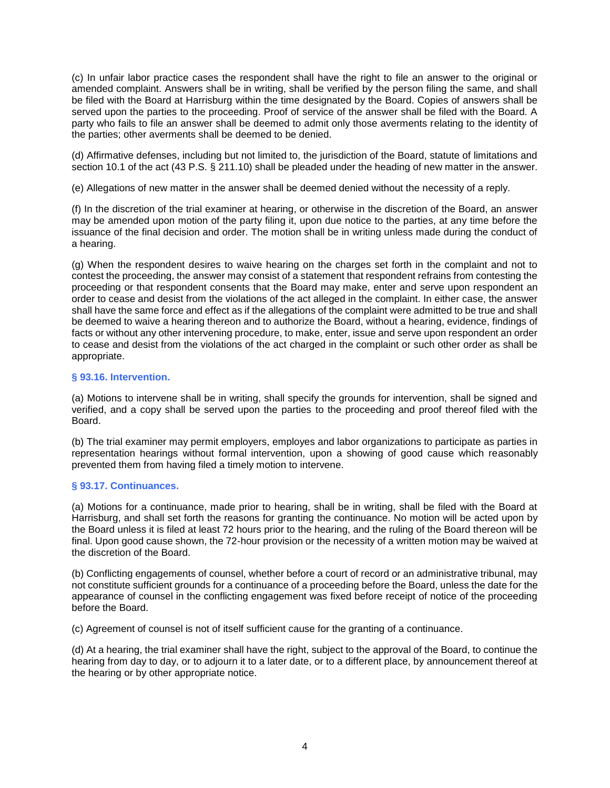(c) In unfair labor practice cases the respondent shall have the right to file an answer to the original or amended complaint. Answers shall be in writing, shall be verified by the person filing the same, and shall be filed with the Board at Harrisburg within the time designated by the Board. Copies of answers shall be served upon the parties to the proceeding. Proof of service of the answer shall be filed with the Board. A party who fails to file an answer shall be deemed to admit only those averments relating to the identity of the parties; other averments shall be deemed to be denied.

(d) Affirmative defenses, including but not limited to, the jurisdiction of the Board, statute of limitations and section 10.1 of the act (43 P.S. § 211.10) shall be pleaded under the heading of new matter in the answer.

(e) Allegations of new matter in the answer shall be deemed denied without the necessity of a reply.

(f) In the discretion of the trial examiner at hearing, or otherwise in the discretion of the Board, an answer may be amended upon motion of the party filing it, upon due notice to the parties, at any time before the issuance of the final decision and order. The motion shall be in writing unless made during the conduct of a hearing.

(g) When the respondent desires to waive hearing on the charges set forth in the complaint and not to contest the proceeding, the answer may consist of a statement that respondent refrains from contesting the proceeding or that respondent consents that the Board may make, enter and serve upon respondent an order to cease and desist from the violations of the act alleged in the complaint. In either case, the answer shall have the same force and effect as if the allegations of the complaint were admitted to be true and shall be deemed to waive a hearing thereon and to authorize the Board, without a hearing, evidence, findings of facts or without any other intervening procedure, to make, enter, issue and serve upon respondent an order to cease and desist from the violations of the act charged in the complaint or such other order as shall be appropriate.

## **§ 93.16. Intervention.**

(a) Motions to intervene shall be in writing, shall specify the grounds for intervention, shall be signed and verified, and a copy shall be served upon the parties to the proceeding and proof thereof filed with the Board.

(b) The trial examiner may permit employers, employes and labor organizations to participate as parties in representation hearings without formal intervention, upon a showing of good cause which reasonably prevented them from having filed a timely motion to intervene.

### **§ 93.17. Continuances.**

(a) Motions for a continuance, made prior to hearing, shall be in writing, shall be filed with the Board at Harrisburg, and shall set forth the reasons for granting the continuance. No motion will be acted upon by the Board unless it is filed at least 72 hours prior to the hearing, and the ruling of the Board thereon will be final. Upon good cause shown, the 72-hour provision or the necessity of a written motion may be waived at the discretion of the Board.

(b) Conflicting engagements of counsel, whether before a court of record or an administrative tribunal, may not constitute sufficient grounds for a continuance of a proceeding before the Board, unless the date for the appearance of counsel in the conflicting engagement was fixed before receipt of notice of the proceeding before the Board.

(c) Agreement of counsel is not of itself sufficient cause for the granting of a continuance.

(d) At a hearing, the trial examiner shall have the right, subject to the approval of the Board, to continue the hearing from day to day, or to adjourn it to a later date, or to a different place, by announcement thereof at the hearing or by other appropriate notice.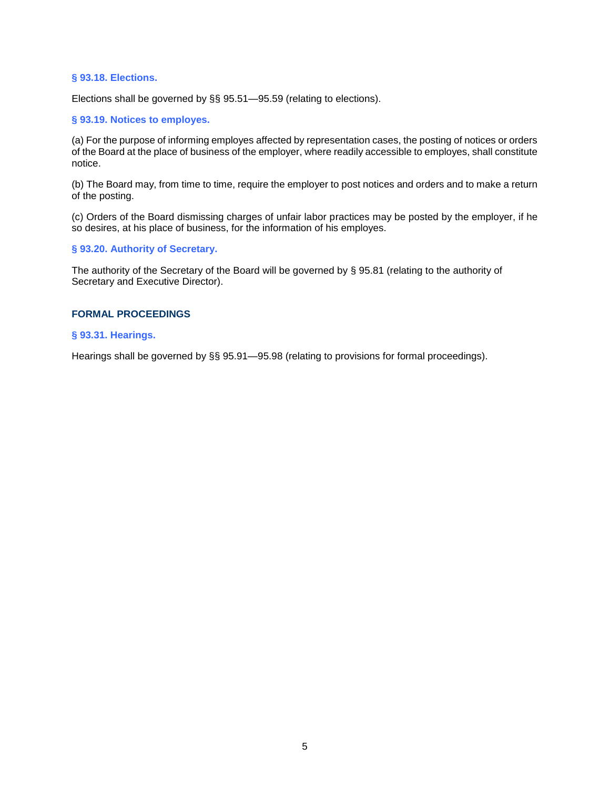### **§ 93.18. Elections.**

Elections shall be governed by §§ 95.51—95.59 (relating to elections).

### **§ 93.19. Notices to employes.**

(a) For the purpose of informing employes affected by representation cases, the posting of notices or orders of the Board at the place of business of the employer, where readily accessible to employes, shall constitute notice.

(b) The Board may, from time to time, require the employer to post notices and orders and to make a return of the posting.

(c) Orders of the Board dismissing charges of unfair labor practices may be posted by the employer, if he so desires, at his place of business, for the information of his employes.

### **§ 93.20. Authority of Secretary.**

The authority of the Secretary of the Board will be governed by § 95.81 (relating to the authority of Secretary and Executive Director).

### **FORMAL PROCEEDINGS**

## <span id="page-7-0"></span>**§ 93.31. Hearings.**

Hearings shall be governed by §§ 95.91—95.98 (relating to provisions for formal proceedings).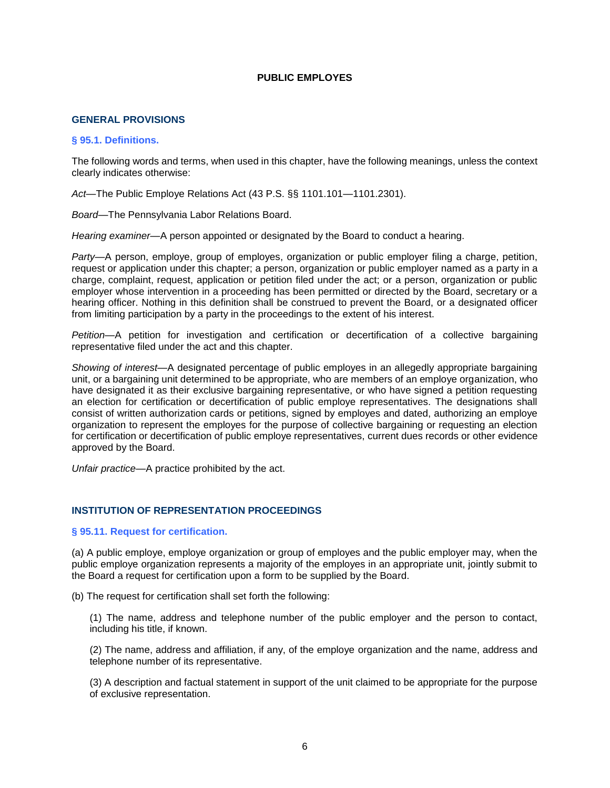### **PUBLIC EMPLOYES**

### **GENERAL PROVISIONS**

#### <span id="page-8-0"></span>**§ 95.1. Definitions.**

The following words and terms, when used in this chapter, have the following meanings, unless the context clearly indicates otherwise:

*Act*—The Public Employe Relations Act (43 P.S. §§ 1101.101—1101.2301).

*Board*—The Pennsylvania Labor Relations Board.

*Hearing examiner*—A person appointed or designated by the Board to conduct a hearing.

*Party*—A person, employe, group of employes, organization or public employer filing a charge, petition, request or application under this chapter; a person, organization or public employer named as a party in a charge, complaint, request, application or petition filed under the act; or a person, organization or public employer whose intervention in a proceeding has been permitted or directed by the Board, secretary or a hearing officer. Nothing in this definition shall be construed to prevent the Board, or a designated officer from limiting participation by a party in the proceedings to the extent of his interest.

*Petition*—A petition for investigation and certification or decertification of a collective bargaining representative filed under the act and this chapter.

*Showing of interest*—A designated percentage of public employes in an allegedly appropriate bargaining unit, or a bargaining unit determined to be appropriate, who are members of an employe organization, who have designated it as their exclusive bargaining representative, or who have signed a petition requesting an election for certification or decertification of public employe representatives. The designations shall consist of written authorization cards or petitions, signed by employes and dated, authorizing an employe organization to represent the employes for the purpose of collective bargaining or requesting an election for certification or decertification of public employe representatives, current dues records or other evidence approved by the Board.

*Unfair practice*—A practice prohibited by the act.

## **INSTITUTION OF REPRESENTATION PROCEEDINGS**

#### <span id="page-8-1"></span>**§ 95.11. Request for certification.**

(a) A public employe, employe organization or group of employes and the public employer may, when the public employe organization represents a majority of the employes in an appropriate unit, jointly submit to the Board a request for certification upon a form to be supplied by the Board.

(b) The request for certification shall set forth the following:

(1) The name, address and telephone number of the public employer and the person to contact, including his title, if known.

(2) The name, address and affiliation, if any, of the employe organization and the name, address and telephone number of its representative.

(3) A description and factual statement in support of the unit claimed to be appropriate for the purpose of exclusive representation.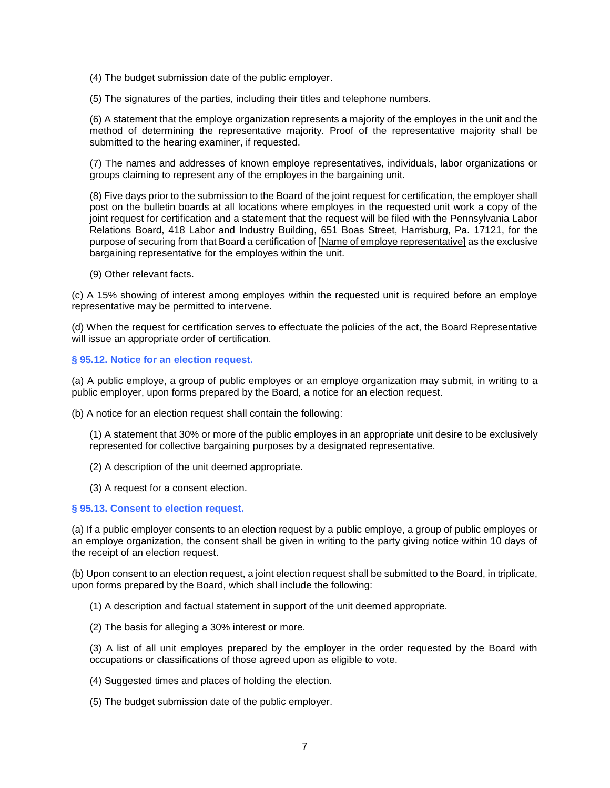(4) The budget submission date of the public employer.

(5) The signatures of the parties, including their titles and telephone numbers.

(6) A statement that the employe organization represents a majority of the employes in the unit and the method of determining the representative majority. Proof of the representative majority shall be submitted to the hearing examiner, if requested.

(7) The names and addresses of known employe representatives, individuals, labor organizations or groups claiming to represent any of the employes in the bargaining unit.

(8) Five days prior to the submission to the Board of the joint request for certification, the employer shall post on the bulletin boards at all locations where employes in the requested unit work a copy of the joint request for certification and a statement that the request will be filed with the Pennsylvania Labor Relations Board, 418 Labor and Industry Building, 651 Boas Street, Harrisburg, Pa. 17121, for the purpose of securing from that Board a certification of [Name of employe representative] as the exclusive bargaining representative for the employes within the unit.

(9) Other relevant facts.

(c) A 15% showing of interest among employes within the requested unit is required before an employe representative may be permitted to intervene.

(d) When the request for certification serves to effectuate the policies of the act, the Board Representative will issue an appropriate order of certification.

#### **§ 95.12. Notice for an election request.**

(a) A public employe, a group of public employes or an employe organization may submit, in writing to a public employer, upon forms prepared by the Board, a notice for an election request.

(b) A notice for an election request shall contain the following:

(1) A statement that 30% or more of the public employes in an appropriate unit desire to be exclusively represented for collective bargaining purposes by a designated representative.

- (2) A description of the unit deemed appropriate.
- (3) A request for a consent election.

#### **§ 95.13. Consent to election request.**

(a) If a public employer consents to an election request by a public employe, a group of public employes or an employe organization, the consent shall be given in writing to the party giving notice within 10 days of the receipt of an election request.

(b) Upon consent to an election request, a joint election request shall be submitted to the Board, in triplicate, upon forms prepared by the Board, which shall include the following:

(1) A description and factual statement in support of the unit deemed appropriate.

(2) The basis for alleging a 30% interest or more.

(3) A list of all unit employes prepared by the employer in the order requested by the Board with occupations or classifications of those agreed upon as eligible to vote.

- (4) Suggested times and places of holding the election.
- (5) The budget submission date of the public employer.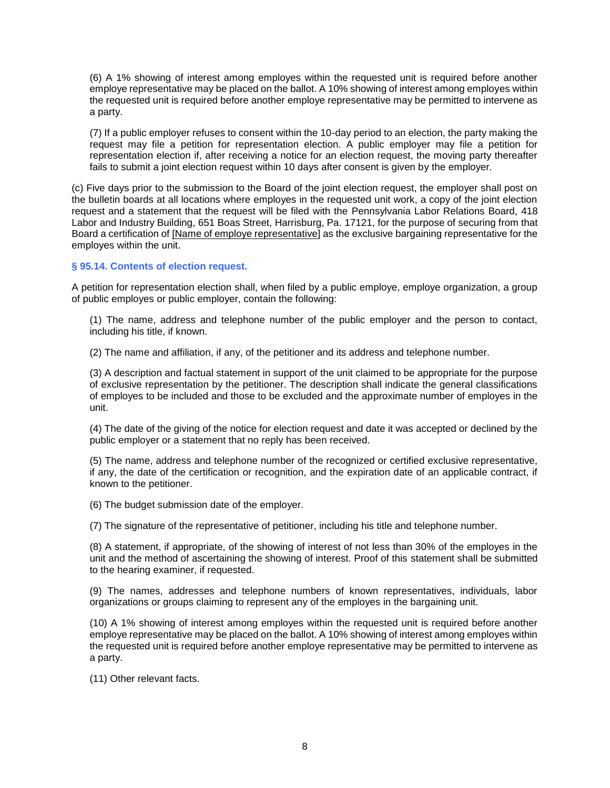(6) A 1% showing of interest among employes within the requested unit is required before another employe representative may be placed on the ballot. A 10% showing of interest among employes within the requested unit is required before another employe representative may be permitted to intervene as a party.

(7) If a public employer refuses to consent within the 10-day period to an election, the party making the request may file a petition for representation election. A public employer may file a petition for representation election if, after receiving a notice for an election request, the moving party thereafter fails to submit a joint election request within 10 days after consent is given by the employer.

(c) Five days prior to the submission to the Board of the joint election request, the employer shall post on the bulletin boards at all locations where employes in the requested unit work, a copy of the joint election request and a statement that the request will be filed with the Pennsylvania Labor Relations Board, 418 Labor and Industry Building, 651 Boas Street, Harrisburg, Pa. 17121, for the purpose of securing from that Board a certification of [Name of employe representative] as the exclusive bargaining representative for the employes within the unit.

## **§ 95.14. Contents of election request.**

A petition for representation election shall, when filed by a public employe, employe organization, a group of public employes or public employer, contain the following:

(1) The name, address and telephone number of the public employer and the person to contact, including his title, if known.

(2) The name and affiliation, if any, of the petitioner and its address and telephone number.

(3) A description and factual statement in support of the unit claimed to be appropriate for the purpose of exclusive representation by the petitioner. The description shall indicate the general classifications of employes to be included and those to be excluded and the approximate number of employes in the unit.

(4) The date of the giving of the notice for election request and date it was accepted or declined by the public employer or a statement that no reply has been received.

(5) The name, address and telephone number of the recognized or certified exclusive representative, if any, the date of the certification or recognition, and the expiration date of an applicable contract, if known to the petitioner.

(6) The budget submission date of the employer.

(7) The signature of the representative of petitioner, including his title and telephone number.

(8) A statement, if appropriate, of the showing of interest of not less than 30% of the employes in the unit and the method of ascertaining the showing of interest. Proof of this statement shall be submitted to the hearing examiner, if requested.

(9) The names, addresses and telephone numbers of known representatives, individuals, labor organizations or groups claiming to represent any of the employes in the bargaining unit.

(10) A 1% showing of interest among employes within the requested unit is required before another employe representative may be placed on the ballot. A 10% showing of interest among employes within the requested unit is required before another employe representative may be permitted to intervene as a party.

(11) Other relevant facts.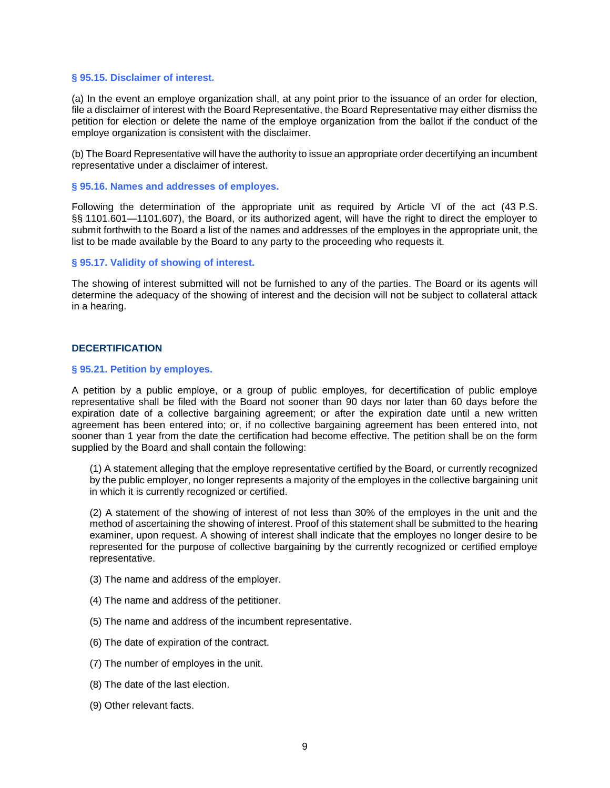#### **§ 95.15. Disclaimer of interest.**

(a) In the event an employe organization shall, at any point prior to the issuance of an order for election, file a disclaimer of interest with the Board Representative, the Board Representative may either dismiss the petition for election or delete the name of the employe organization from the ballot if the conduct of the employe organization is consistent with the disclaimer.

(b) The Board Representative will have the authority to issue an appropriate order decertifying an incumbent representative under a disclaimer of interest.

#### **§ 95.16. Names and addresses of employes.**

Following the determination of the appropriate unit as required by Article VI of the act (43 P.S. §§ 1101.601-1101.607), the Board, or its authorized agent, will have the right to direct the employer to submit forthwith to the Board a list of the names and addresses of the employes in the appropriate unit, the list to be made available by the Board to any party to the proceeding who requests it.

#### **§ 95.17. Validity of showing of interest.**

The showing of interest submitted will not be furnished to any of the parties. The Board or its agents will determine the adequacy of the showing of interest and the decision will not be subject to collateral attack in a hearing.

### **DECERTIFICATION**

#### <span id="page-11-0"></span>**§ 95.21. Petition by employes.**

A petition by a public employe, or a group of public employes, for decertification of public employe representative shall be filed with the Board not sooner than 90 days nor later than 60 days before the expiration date of a collective bargaining agreement; or after the expiration date until a new written agreement has been entered into; or, if no collective bargaining agreement has been entered into, not sooner than 1 year from the date the certification had become effective. The petition shall be on the form supplied by the Board and shall contain the following:

(1) A statement alleging that the employe representative certified by the Board, or currently recognized by the public employer, no longer represents a majority of the employes in the collective bargaining unit in which it is currently recognized or certified.

(2) A statement of the showing of interest of not less than 30% of the employes in the unit and the method of ascertaining the showing of interest. Proof of this statement shall be submitted to the hearing examiner, upon request. A showing of interest shall indicate that the employes no longer desire to be represented for the purpose of collective bargaining by the currently recognized or certified employe representative.

- (3) The name and address of the employer.
- (4) The name and address of the petitioner.
- (5) The name and address of the incumbent representative.
- (6) The date of expiration of the contract.
- (7) The number of employes in the unit.
- (8) The date of the last election.
- (9) Other relevant facts.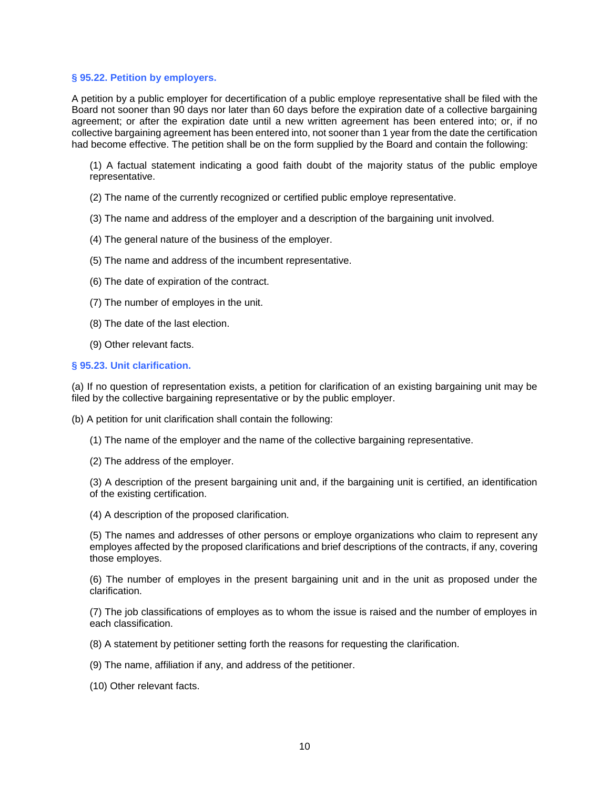### **§ 95.22. Petition by employers.**

A petition by a public employer for decertification of a public employe representative shall be filed with the Board not sooner than 90 days nor later than 60 days before the expiration date of a collective bargaining agreement; or after the expiration date until a new written agreement has been entered into; or, if no collective bargaining agreement has been entered into, not sooner than 1 year from the date the certification had become effective. The petition shall be on the form supplied by the Board and contain the following:

(1) A factual statement indicating a good faith doubt of the majority status of the public employe representative.

- (2) The name of the currently recognized or certified public employe representative.
- (3) The name and address of the employer and a description of the bargaining unit involved.
- (4) The general nature of the business of the employer.
- (5) The name and address of the incumbent representative.
- (6) The date of expiration of the contract.
- (7) The number of employes in the unit.
- (8) The date of the last election.
- (9) Other relevant facts.

#### **§ 95.23. Unit clarification.**

(a) If no question of representation exists, a petition for clarification of an existing bargaining unit may be filed by the collective bargaining representative or by the public employer.

(b) A petition for unit clarification shall contain the following:

- (1) The name of the employer and the name of the collective bargaining representative.
- (2) The address of the employer.

(3) A description of the present bargaining unit and, if the bargaining unit is certified, an identification of the existing certification.

(4) A description of the proposed clarification.

(5) The names and addresses of other persons or employe organizations who claim to represent any employes affected by the proposed clarifications and brief descriptions of the contracts, if any, covering those employes.

(6) The number of employes in the present bargaining unit and in the unit as proposed under the clarification.

(7) The job classifications of employes as to whom the issue is raised and the number of employes in each classification.

(8) A statement by petitioner setting forth the reasons for requesting the clarification.

(9) The name, affiliation if any, and address of the petitioner.

(10) Other relevant facts.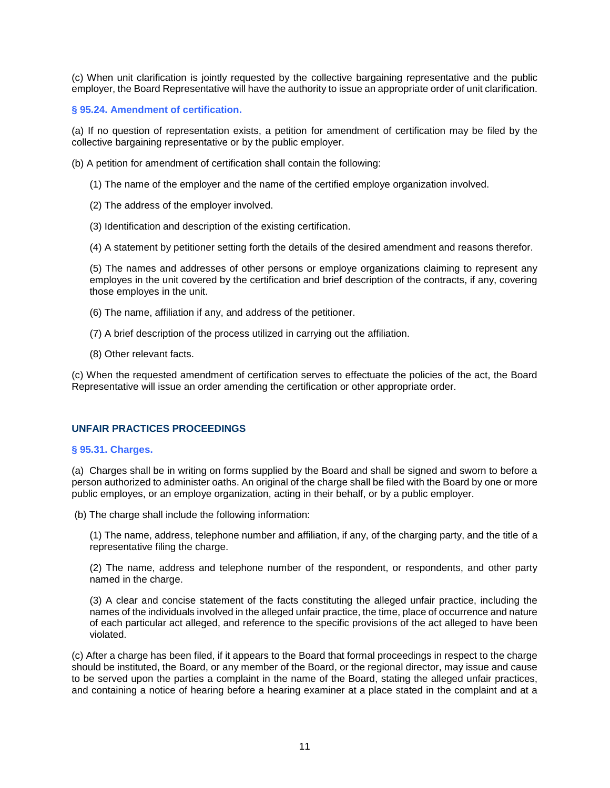(c) When unit clarification is jointly requested by the collective bargaining representative and the public employer, the Board Representative will have the authority to issue an appropriate order of unit clarification.

## **§ 95.24. Amendment of certification.**

(a) If no question of representation exists, a petition for amendment of certification may be filed by the collective bargaining representative or by the public employer.

(b) A petition for amendment of certification shall contain the following:

- (1) The name of the employer and the name of the certified employe organization involved.
- (2) The address of the employer involved.
- (3) Identification and description of the existing certification.
- (4) A statement by petitioner setting forth the details of the desired amendment and reasons therefor.

(5) The names and addresses of other persons or employe organizations claiming to represent any employes in the unit covered by the certification and brief description of the contracts, if any, covering those employes in the unit.

- (6) The name, affiliation if any, and address of the petitioner.
- (7) A brief description of the process utilized in carrying out the affiliation.
- (8) Other relevant facts.

(c) When the requested amendment of certification serves to effectuate the policies of the act, the Board Representative will issue an order amending the certification or other appropriate order.

### **UNFAIR PRACTICES PROCEEDINGS**

#### <span id="page-13-0"></span>**§ 95.31. Charges.**

(a) Charges shall be in writing on forms supplied by the Board and shall be signed and sworn to before a person authorized to administer oaths. An original of the charge shall be filed with the Board by one or more public employes, or an employe organization, acting in their behalf, or by a public employer.

(b) The charge shall include the following information:

(1) The name, address, telephone number and affiliation, if any, of the charging party, and the title of a representative filing the charge.

(2) The name, address and telephone number of the respondent, or respondents, and other party named in the charge.

(3) A clear and concise statement of the facts constituting the alleged unfair practice, including the names of the individuals involved in the alleged unfair practice, the time, place of occurrence and nature of each particular act alleged, and reference to the specific provisions of the act alleged to have been violated.

(c) After a charge has been filed, if it appears to the Board that formal proceedings in respect to the charge should be instituted, the Board, or any member of the Board, or the regional director, may issue and cause to be served upon the parties a complaint in the name of the Board, stating the alleged unfair practices, and containing a notice of hearing before a hearing examiner at a place stated in the complaint and at a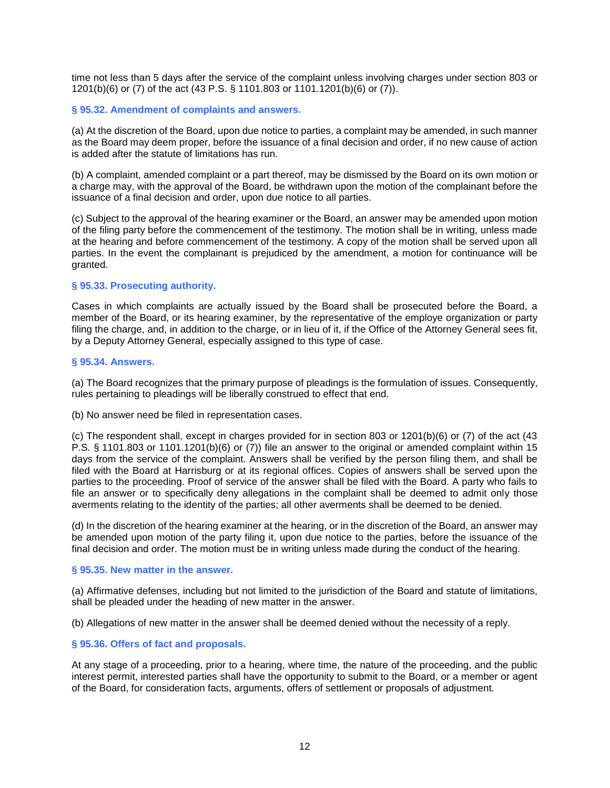time not less than 5 days after the service of the complaint unless involving charges under section 803 or 1201(b)(6) or (7) of the act (43 P.S. § 1101.803 or 1101.1201(b)(6) or (7)).

### **§ 95.32. Amendment of complaints and answers.**

(a) At the discretion of the Board, upon due notice to parties, a complaint may be amended, in such manner as the Board may deem proper, before the issuance of a final decision and order, if no new cause of action is added after the statute of limitations has run.

(b) A complaint, amended complaint or a part thereof, may be dismissed by the Board on its own motion or a charge may, with the approval of the Board, be withdrawn upon the motion of the complainant before the issuance of a final decision and order, upon due notice to all parties.

(c) Subject to the approval of the hearing examiner or the Board, an answer may be amended upon motion of the filing party before the commencement of the testimony. The motion shall be in writing, unless made at the hearing and before commencement of the testimony. A copy of the motion shall be served upon all parties. In the event the complainant is prejudiced by the amendment, a motion for continuance will be granted.

#### **§ 95.33. Prosecuting authority.**

Cases in which complaints are actually issued by the Board shall be prosecuted before the Board, a member of the Board, or its hearing examiner, by the representative of the employe organization or party filing the charge, and, in addition to the charge, or in lieu of it, if the Office of the Attorney General sees fit, by a Deputy Attorney General, especially assigned to this type of case.

#### **§ 95.34. Answers.**

(a) The Board recognizes that the primary purpose of pleadings is the formulation of issues. Consequently, rules pertaining to pleadings will be liberally construed to effect that end.

(b) No answer need be filed in representation cases.

(c) The respondent shall, except in charges provided for in section 803 or 1201(b)(6) or (7) of the act (43 P.S. § 1101.803 or 1101.1201(b)(6) or (7)) file an answer to the original or amended complaint within 15 days from the service of the complaint. Answers shall be verified by the person filing them, and shall be filed with the Board at Harrisburg or at its regional offices. Copies of answers shall be served upon the parties to the proceeding. Proof of service of the answer shall be filed with the Board. A party who fails to file an answer or to specifically deny allegations in the complaint shall be deemed to admit only those averments relating to the identity of the parties; all other averments shall be deemed to be denied.

(d) In the discretion of the hearing examiner at the hearing, or in the discretion of the Board, an answer may be amended upon motion of the party filing it, upon due notice to the parties, before the issuance of the final decision and order. The motion must be in writing unless made during the conduct of the hearing.

#### **§ 95.35. New matter in the answer.**

(a) Affirmative defenses, including but not limited to the jurisdiction of the Board and statute of limitations, shall be pleaded under the heading of new matter in the answer.

(b) Allegations of new matter in the answer shall be deemed denied without the necessity of a reply.

### **§ 95.36. Offers of fact and proposals.**

At any stage of a proceeding, prior to a hearing, where time, the nature of the proceeding, and the public interest permit, interested parties shall have the opportunity to submit to the Board, or a member or agent of the Board, for consideration facts, arguments, offers of settlement or proposals of adjustment.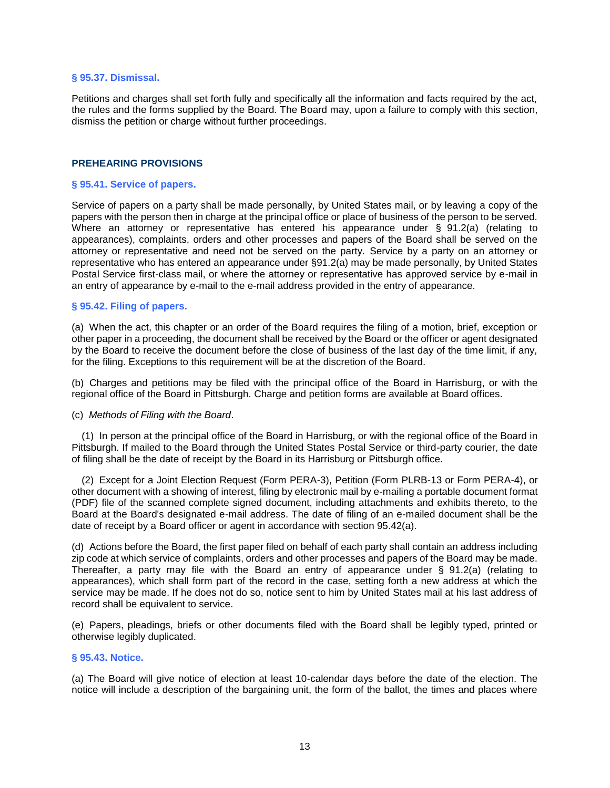#### **§ 95.37. Dismissal.**

Petitions and charges shall set forth fully and specifically all the information and facts required by the act, the rules and the forms supplied by the Board. The Board may, upon a failure to comply with this section, dismiss the petition or charge without further proceedings.

### **PREHEARING PROVISIONS**

#### <span id="page-15-0"></span>**§ 95.41. Service of papers.**

Service of papers on a party shall be made personally, by United States mail, or by leaving a copy of the papers with the person then in charge at the principal office or place of business of the person to be served. Where an attorney or representative has entered his appearance under § 91.2(a) (relating to appearances), complaints, orders and other processes and papers of the Board shall be served on the attorney or representative and need not be served on the party. Service by a party on an attorney or representative who has entered an appearance under §91.2(a) may be made personally, by United States Postal Service first-class mail, or where the attorney or representative has approved service by e-mail in an entry of appearance by e-mail to the e-mail address provided in the entry of appearance.

#### **§ 95.42. Filing of papers.**

(a) When the act, this chapter or an order of the Board requires the filing of a motion, brief, exception or other paper in a proceeding, the document shall be received by the Board or the officer or agent designated by the Board to receive the document before the close of business of the last day of the time limit, if any, for the filing. Exceptions to this requirement will be at the discretion of the Board.

(b) Charges and petitions may be filed with the principal office of the Board in Harrisburg, or with the regional office of the Board in Pittsburgh. Charge and petition forms are available at Board offices.

#### (c) *Methods of Filing with the Board*.

(1) In person at the principal office of the Board in Harrisburg, or with the regional office of the Board in Pittsburgh. If mailed to the Board through the United States Postal Service or third-party courier, the date of filing shall be the date of receipt by the Board in its Harrisburg or Pittsburgh office.

(2) Except for a Joint Election Request (Form PERA-3), Petition (Form PLRB-13 or Form PERA-4), or other document with a showing of interest, filing by electronic mail by e-mailing a portable document format (PDF) file of the scanned complete signed document, including attachments and exhibits thereto, to the Board at the Board's designated e-mail address. The date of filing of an e-mailed document shall be the date of receipt by a Board officer or agent in accordance with section 95.42(a).

(d) Actions before the Board, the first paper filed on behalf of each party shall contain an address including zip code at which service of complaints, orders and other processes and papers of the Board may be made. Thereafter, a party may file with the Board an entry of appearance under § 91.2(a) (relating to appearances), which shall form part of the record in the case, setting forth a new address at which the service may be made. If he does not do so, notice sent to him by United States mail at his last address of record shall be equivalent to service.

(e) Papers, pleadings, briefs or other documents filed with the Board shall be legibly typed, printed or otherwise legibly duplicated.

#### **§ 95.43. Notice.**

(a) The Board will give notice of election at least 10-calendar days before the date of the election. The notice will include a description of the bargaining unit, the form of the ballot, the times and places where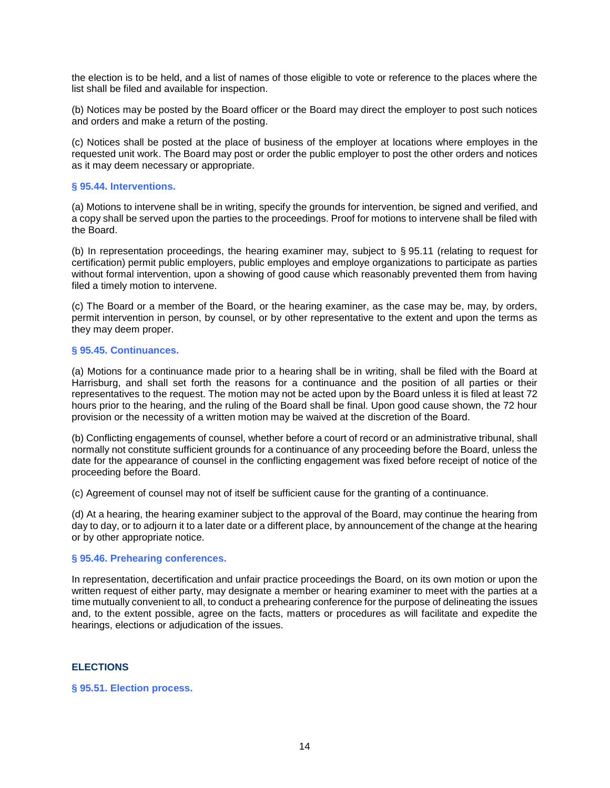the election is to be held, and a list of names of those eligible to vote or reference to the places where the list shall be filed and available for inspection.

(b) Notices may be posted by the Board officer or the Board may direct the employer to post such notices and orders and make a return of the posting.

(c) Notices shall be posted at the place of business of the employer at locations where employes in the requested unit work. The Board may post or order the public employer to post the other orders and notices as it may deem necessary or appropriate.

### **§ 95.44. Interventions.**

(a) Motions to intervene shall be in writing, specify the grounds for intervention, be signed and verified, and a copy shall be served upon the parties to the proceedings. Proof for motions to intervene shall be filed with the Board.

(b) In representation proceedings, the hearing examiner may, subject to § 95.11 (relating to request for certification) permit public employers, public employes and employe organizations to participate as parties without formal intervention, upon a showing of good cause which reasonably prevented them from having filed a timely motion to intervene.

(c) The Board or a member of the Board, or the hearing examiner, as the case may be, may, by orders, permit intervention in person, by counsel, or by other representative to the extent and upon the terms as they may deem proper.

### **§ 95.45. Continuances.**

(a) Motions for a continuance made prior to a hearing shall be in writing, shall be filed with the Board at Harrisburg, and shall set forth the reasons for a continuance and the position of all parties or their representatives to the request. The motion may not be acted upon by the Board unless it is filed at least 72 hours prior to the hearing, and the ruling of the Board shall be final. Upon good cause shown, the 72 hour provision or the necessity of a written motion may be waived at the discretion of the Board.

(b) Conflicting engagements of counsel, whether before a court of record or an administrative tribunal, shall normally not constitute sufficient grounds for a continuance of any proceeding before the Board, unless the date for the appearance of counsel in the conflicting engagement was fixed before receipt of notice of the proceeding before the Board.

(c) Agreement of counsel may not of itself be sufficient cause for the granting of a continuance.

(d) At a hearing, the hearing examiner subject to the approval of the Board, may continue the hearing from day to day, or to adjourn it to a later date or a different place, by announcement of the change at the hearing or by other appropriate notice.

### **§ 95.46. Prehearing conferences.**

In representation, decertification and unfair practice proceedings the Board, on its own motion or upon the written request of either party, may designate a member or hearing examiner to meet with the parties at a time mutually convenient to all, to conduct a prehearing conference for the purpose of delineating the issues and, to the extent possible, agree on the facts, matters or procedures as will facilitate and expedite the hearings, elections or adjudication of the issues.

### **ELECTIONS**

### <span id="page-16-0"></span>**§ 95.51. Election process.**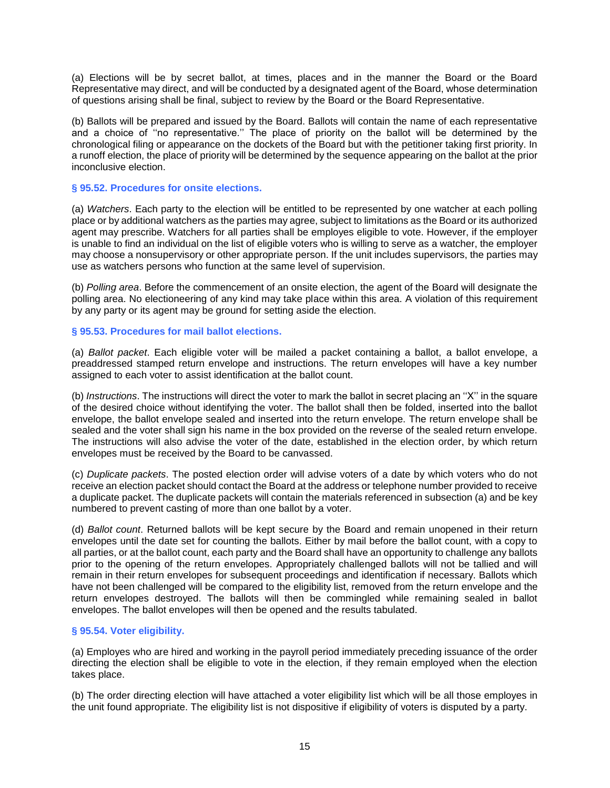(a) Elections will be by secret ballot, at times, places and in the manner the Board or the Board Representative may direct, and will be conducted by a designated agent of the Board, whose determination of questions arising shall be final, subject to review by the Board or the Board Representative.

(b) Ballots will be prepared and issued by the Board. Ballots will contain the name of each representative and a choice of ''no representative.'' The place of priority on the ballot will be determined by the chronological filing or appearance on the dockets of the Board but with the petitioner taking first priority. In a runoff election, the place of priority will be determined by the sequence appearing on the ballot at the prior inconclusive election.

## **§ 95.52. Procedures for onsite elections.**

(a) *Watchers*. Each party to the election will be entitled to be represented by one watcher at each polling place or by additional watchers as the parties may agree, subject to limitations as the Board or its authorized agent may prescribe. Watchers for all parties shall be employes eligible to vote. However, if the employer is unable to find an individual on the list of eligible voters who is willing to serve as a watcher, the employer may choose a nonsupervisory or other appropriate person. If the unit includes supervisors, the parties may use as watchers persons who function at the same level of supervision.

(b) *Polling area*. Before the commencement of an onsite election, the agent of the Board will designate the polling area. No electioneering of any kind may take place within this area. A violation of this requirement by any party or its agent may be ground for setting aside the election.

## **§ 95.53. Procedures for mail ballot elections.**

(a) *Ballot packet*. Each eligible voter will be mailed a packet containing a ballot, a ballot envelope, a preaddressed stamped return envelope and instructions. The return envelopes will have a key number assigned to each voter to assist identification at the ballot count.

(b) *Instructions*. The instructions will direct the voter to mark the ballot in secret placing an ''X'' in the square of the desired choice without identifying the voter. The ballot shall then be folded, inserted into the ballot envelope, the ballot envelope sealed and inserted into the return envelope. The return envelope shall be sealed and the voter shall sign his name in the box provided on the reverse of the sealed return envelope. The instructions will also advise the voter of the date, established in the election order, by which return envelopes must be received by the Board to be canvassed.

(c) *Duplicate packets*. The posted election order will advise voters of a date by which voters who do not receive an election packet should contact the Board at the address or telephone number provided to receive a duplicate packet. The duplicate packets will contain the materials referenced in subsection (a) and be key numbered to prevent casting of more than one ballot by a voter.

(d) *Ballot count*. Returned ballots will be kept secure by the Board and remain unopened in their return envelopes until the date set for counting the ballots. Either by mail before the ballot count, with a copy to all parties, or at the ballot count, each party and the Board shall have an opportunity to challenge any ballots prior to the opening of the return envelopes. Appropriately challenged ballots will not be tallied and will remain in their return envelopes for subsequent proceedings and identification if necessary. Ballots which have not been challenged will be compared to the eligibility list, removed from the return envelope and the return envelopes destroyed. The ballots will then be commingled while remaining sealed in ballot envelopes. The ballot envelopes will then be opened and the results tabulated.

### **§ 95.54. Voter eligibility.**

(a) Employes who are hired and working in the payroll period immediately preceding issuance of the order directing the election shall be eligible to vote in the election, if they remain employed when the election takes place.

(b) The order directing election will have attached a voter eligibility list which will be all those employes in the unit found appropriate. The eligibility list is not dispositive if eligibility of voters is disputed by a party.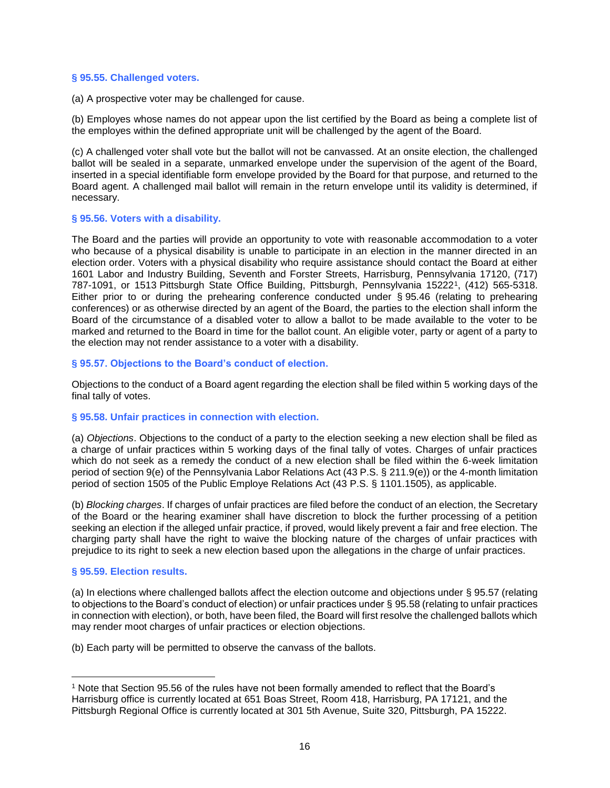### **§ 95.55. Challenged voters.**

(a) A prospective voter may be challenged for cause.

(b) Employes whose names do not appear upon the list certified by the Board as being a complete list of the employes within the defined appropriate unit will be challenged by the agent of the Board.

(c) A challenged voter shall vote but the ballot will not be canvassed. At an onsite election, the challenged ballot will be sealed in a separate, unmarked envelope under the supervision of the agent of the Board, inserted in a special identifiable form envelope provided by the Board for that purpose, and returned to the Board agent. A challenged mail ballot will remain in the return envelope until its validity is determined, if necessary.

### **§ 95.56. Voters with a disability.**

The Board and the parties will provide an opportunity to vote with reasonable accommodation to a voter who because of a physical disability is unable to participate in an election in the manner directed in an election order. Voters with a physical disability who require assistance should contact the Board at either 1601 Labor and Industry Building, Seventh and Forster Streets, Harrisburg, Pennsylvania 17120, (717) 787-1091, or 1513 Pittsburgh State Office Building, Pittsburgh, Pennsylvania 152221, (412) 565-5318. Either prior to or during the prehearing conference conducted under § 95.46 (relating to prehearing conferences) or as otherwise directed by an agent of the Board, the parties to the election shall inform the Board of the circumstance of a disabled voter to allow a ballot to be made available to the voter to be marked and returned to the Board in time for the ballot count. An eligible voter, party or agent of a party to the election may not render assistance to a voter with a disability.

### **§ 95.57. Objections to the Board's conduct of election.**

Objections to the conduct of a Board agent regarding the election shall be filed within 5 working days of the final tally of votes.

### **§ 95.58. Unfair practices in connection with election.**

(a) *Objections*. Objections to the conduct of a party to the election seeking a new election shall be filed as a charge of unfair practices within 5 working days of the final tally of votes. Charges of unfair practices which do not seek as a remedy the conduct of a new election shall be filed within the 6-week limitation period of section 9(e) of the Pennsylvania Labor Relations Act (43 P.S. § 211.9(e)) or the 4-month limitation period of section 1505 of the Public Employe Relations Act (43 P.S. § 1101.1505), as applicable.

(b) *Blocking charges*. If charges of unfair practices are filed before the conduct of an election, the Secretary of the Board or the hearing examiner shall have discretion to block the further processing of a petition seeking an election if the alleged unfair practice, if proved, would likely prevent a fair and free election. The charging party shall have the right to waive the blocking nature of the charges of unfair practices with prejudice to its right to seek a new election based upon the allegations in the charge of unfair practices.

### **§ 95.59. Election results.**

ı.

(a) In elections where challenged ballots affect the election outcome and objections under § 95.57 (relating to objections to the Board's conduct of election) or unfair practices under § 95.58 (relating to unfair practices in connection with election), or both, have been filed, the Board will first resolve the challenged ballots which may render moot charges of unfair practices or election objections.

(b) Each party will be permitted to observe the canvass of the ballots.

<sup>1</sup> Note that Section 95.56 of the rules have not been formally amended to reflect that the Board's Harrisburg office is currently located at 651 Boas Street, Room 418, Harrisburg, PA 17121, and the Pittsburgh Regional Office is currently located at 301 5th Avenue, Suite 320, Pittsburgh, PA 15222.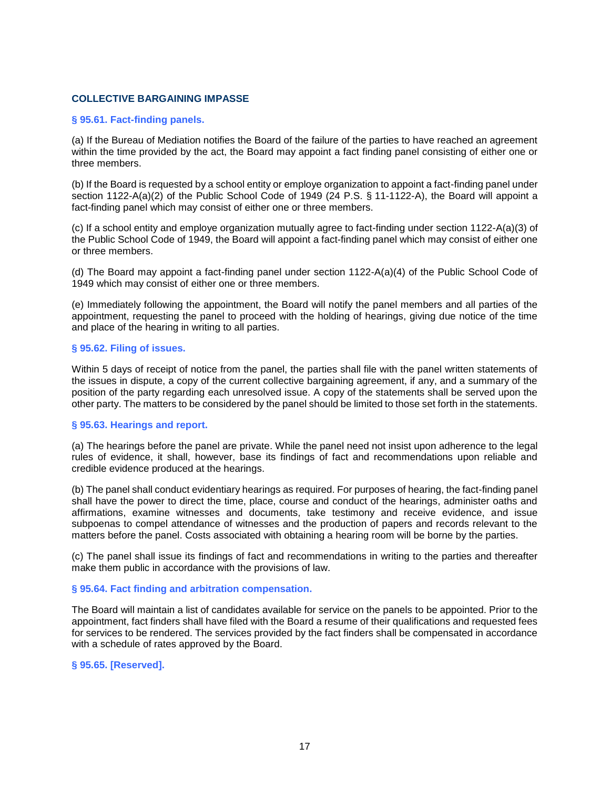### **COLLECTIVE BARGAINING IMPASSE**

#### <span id="page-19-0"></span>**§ 95.61. Fact-finding panels.**

(a) If the Bureau of Mediation notifies the Board of the failure of the parties to have reached an agreement within the time provided by the act, the Board may appoint a fact finding panel consisting of either one or three members.

(b) If the Board is requested by a school entity or employe organization to appoint a fact-finding panel under section 1122-A(a)(2) of the Public School Code of 1949 (24 P.S. § 11-1122-A), the Board will appoint a fact-finding panel which may consist of either one or three members.

(c) If a school entity and employe organization mutually agree to fact-finding under section 1122-A(a)(3) of the Public School Code of 1949, the Board will appoint a fact-finding panel which may consist of either one or three members.

(d) The Board may appoint a fact-finding panel under section 1122-A(a)(4) of the Public School Code of 1949 which may consist of either one or three members.

(e) Immediately following the appointment, the Board will notify the panel members and all parties of the appointment, requesting the panel to proceed with the holding of hearings, giving due notice of the time and place of the hearing in writing to all parties.

### **§ 95.62. Filing of issues.**

Within 5 days of receipt of notice from the panel, the parties shall file with the panel written statements of the issues in dispute, a copy of the current collective bargaining agreement, if any, and a summary of the position of the party regarding each unresolved issue. A copy of the statements shall be served upon the other party. The matters to be considered by the panel should be limited to those set forth in the statements.

### **§ 95.63. Hearings and report.**

(a) The hearings before the panel are private. While the panel need not insist upon adherence to the legal rules of evidence, it shall, however, base its findings of fact and recommendations upon reliable and credible evidence produced at the hearings.

(b) The panel shall conduct evidentiary hearings as required. For purposes of hearing, the fact-finding panel shall have the power to direct the time, place, course and conduct of the hearings, administer oaths and affirmations, examine witnesses and documents, take testimony and receive evidence, and issue subpoenas to compel attendance of witnesses and the production of papers and records relevant to the matters before the panel. Costs associated with obtaining a hearing room will be borne by the parties.

(c) The panel shall issue its findings of fact and recommendations in writing to the parties and thereafter make them public in accordance with the provisions of law.

#### **§ 95.64. Fact finding and arbitration compensation.**

The Board will maintain a list of candidates available for service on the panels to be appointed. Prior to the appointment, fact finders shall have filed with the Board a resume of their qualifications and requested fees for services to be rendered. The services provided by the fact finders shall be compensated in accordance with a schedule of rates approved by the Board.

### **§ 95.65. [Reserved].**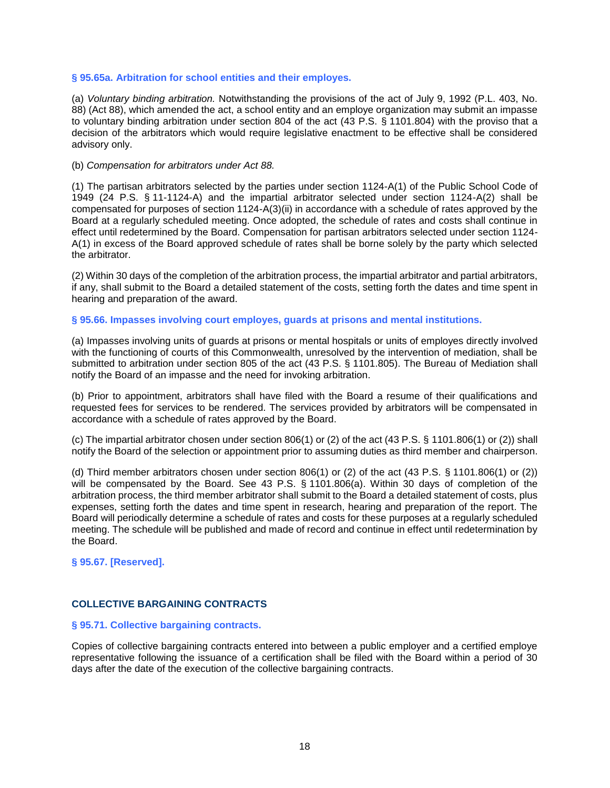### **§ 95.65a. Arbitration for school entities and their employes.**

(a) *Voluntary binding arbitration.* Notwithstanding the provisions of the act of July 9, 1992 (P.L. 403, No. 88) (Act 88), which amended the act, a school entity and an employe organization may submit an impasse to voluntary binding arbitration under section 804 of the act (43 P.S. § 1101.804) with the proviso that a decision of the arbitrators which would require legislative enactment to be effective shall be considered advisory only.

#### (b) *Compensation for arbitrators under Act 88.*

(1) The partisan arbitrators selected by the parties under section 1124-A(1) of the Public School Code of 1949 (24 P.S. § 11-1124-A) and the impartial arbitrator selected under section 1124-A(2) shall be compensated for purposes of section 1124-A(3)(ii) in accordance with a schedule of rates approved by the Board at a regularly scheduled meeting. Once adopted, the schedule of rates and costs shall continue in effect until redetermined by the Board. Compensation for partisan arbitrators selected under section 1124- A(1) in excess of the Board approved schedule of rates shall be borne solely by the party which selected the arbitrator.

(2) Within 30 days of the completion of the arbitration process, the impartial arbitrator and partial arbitrators, if any, shall submit to the Board a detailed statement of the costs, setting forth the dates and time spent in hearing and preparation of the award.

#### **§ 95.66. Impasses involving court employes, guards at prisons and mental institutions.**

(a) Impasses involving units of guards at prisons or mental hospitals or units of employes directly involved with the functioning of courts of this Commonwealth, unresolved by the intervention of mediation, shall be submitted to arbitration under section 805 of the act (43 P.S. § 1101.805). The Bureau of Mediation shall notify the Board of an impasse and the need for invoking arbitration.

(b) Prior to appointment, arbitrators shall have filed with the Board a resume of their qualifications and requested fees for services to be rendered. The services provided by arbitrators will be compensated in accordance with a schedule of rates approved by the Board.

(c) The impartial arbitrator chosen under section 806(1) or (2) of the act (43 P.S. § 1101.806(1) or (2)) shall notify the Board of the selection or appointment prior to assuming duties as third member and chairperson.

(d) Third member arbitrators chosen under section 806(1) or (2) of the act (43 P.S. § 1101.806(1) or (2)) will be compensated by the Board. See 43 P.S. § 1101.806(a). Within 30 days of completion of the arbitration process, the third member arbitrator shall submit to the Board a detailed statement of costs, plus expenses, setting forth the dates and time spent in research, hearing and preparation of the report. The Board will periodically determine a schedule of rates and costs for these purposes at a regularly scheduled meeting. The schedule will be published and made of record and continue in effect until redetermination by the Board.

**§ 95.67. [Reserved].**

## **COLLECTIVE BARGAINING CONTRACTS**

### <span id="page-20-0"></span>**§ 95.71. Collective bargaining contracts.**

Copies of collective bargaining contracts entered into between a public employer and a certified employe representative following the issuance of a certification shall be filed with the Board within a period of 30 days after the date of the execution of the collective bargaining contracts.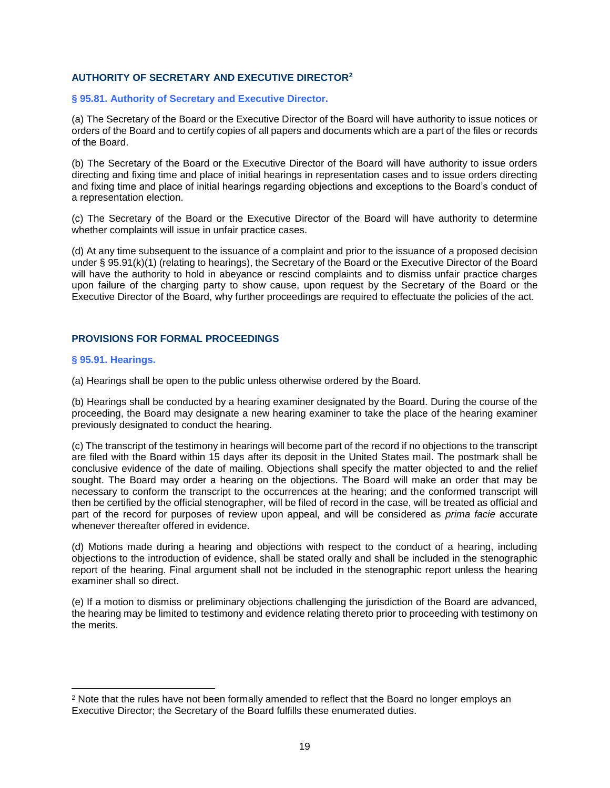## **AUTHORITY OF SECRETARY AND EXECUTIVE DIRECTOR<sup>2</sup>**

#### <span id="page-21-0"></span>**§ 95.81. Authority of Secretary and Executive Director.**

(a) The Secretary of the Board or the Executive Director of the Board will have authority to issue notices or orders of the Board and to certify copies of all papers and documents which are a part of the files or records of the Board.

(b) The Secretary of the Board or the Executive Director of the Board will have authority to issue orders directing and fixing time and place of initial hearings in representation cases and to issue orders directing and fixing time and place of initial hearings regarding objections and exceptions to the Board's conduct of a representation election.

(c) The Secretary of the Board or the Executive Director of the Board will have authority to determine whether complaints will issue in unfair practice cases.

(d) At any time subsequent to the issuance of a complaint and prior to the issuance of a proposed decision under § 95.91(k)(1) (relating to hearings), the Secretary of the Board or the Executive Director of the Board will have the authority to hold in abeyance or rescind complaints and to dismiss unfair practice charges upon failure of the charging party to show cause, upon request by the Secretary of the Board or the Executive Director of the Board, why further proceedings are required to effectuate the policies of the act.

## **PROVISIONS FOR FORMAL PROCEEDINGS**

#### <span id="page-21-1"></span>**§ 95.91. Hearings.**

ı.

(a) Hearings shall be open to the public unless otherwise ordered by the Board.

(b) Hearings shall be conducted by a hearing examiner designated by the Board. During the course of the proceeding, the Board may designate a new hearing examiner to take the place of the hearing examiner previously designated to conduct the hearing.

(c) The transcript of the testimony in hearings will become part of the record if no objections to the transcript are filed with the Board within 15 days after its deposit in the United States mail. The postmark shall be conclusive evidence of the date of mailing. Objections shall specify the matter objected to and the relief sought. The Board may order a hearing on the objections. The Board will make an order that may be necessary to conform the transcript to the occurrences at the hearing; and the conformed transcript will then be certified by the official stenographer, will be filed of record in the case, will be treated as official and part of the record for purposes of review upon appeal, and will be considered as *prima facie* accurate whenever thereafter offered in evidence.

(d) Motions made during a hearing and objections with respect to the conduct of a hearing, including objections to the introduction of evidence, shall be stated orally and shall be included in the stenographic report of the hearing. Final argument shall not be included in the stenographic report unless the hearing examiner shall so direct.

(e) If a motion to dismiss or preliminary objections challenging the jurisdiction of the Board are advanced, the hearing may be limited to testimony and evidence relating thereto prior to proceeding with testimony on the merits.

<sup>&</sup>lt;sup>2</sup> Note that the rules have not been formally amended to reflect that the Board no longer employs an Executive Director; the Secretary of the Board fulfills these enumerated duties.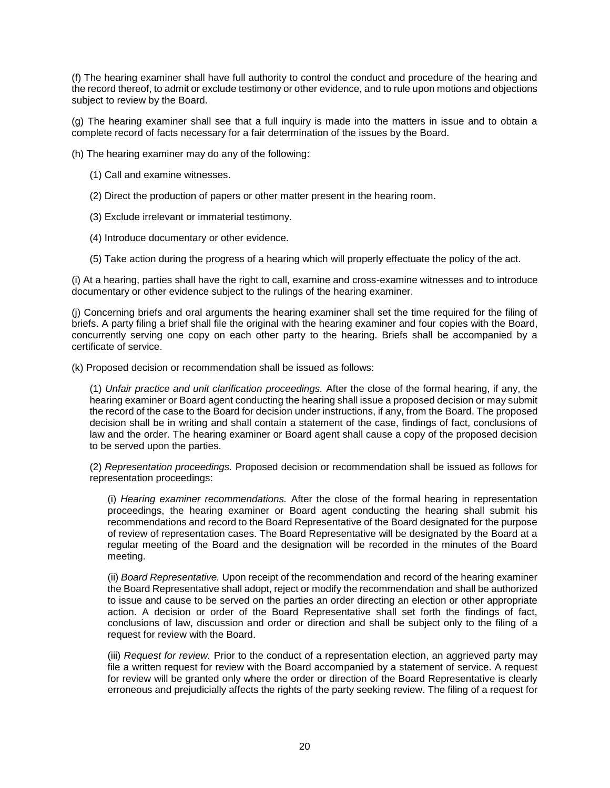(f) The hearing examiner shall have full authority to control the conduct and procedure of the hearing and the record thereof, to admit or exclude testimony or other evidence, and to rule upon motions and objections subject to review by the Board.

(g) The hearing examiner shall see that a full inquiry is made into the matters in issue and to obtain a complete record of facts necessary for a fair determination of the issues by the Board.

(h) The hearing examiner may do any of the following:

- (1) Call and examine witnesses.
- (2) Direct the production of papers or other matter present in the hearing room.
- (3) Exclude irrelevant or immaterial testimony.
- (4) Introduce documentary or other evidence.
- (5) Take action during the progress of a hearing which will properly effectuate the policy of the act.

(i) At a hearing, parties shall have the right to call, examine and cross-examine witnesses and to introduce documentary or other evidence subject to the rulings of the hearing examiner.

(j) Concerning briefs and oral arguments the hearing examiner shall set the time required for the filing of briefs. A party filing a brief shall file the original with the hearing examiner and four copies with the Board, concurrently serving one copy on each other party to the hearing. Briefs shall be accompanied by a certificate of service.

(k) Proposed decision or recommendation shall be issued as follows:

(1) *Unfair practice and unit clarification proceedings.* After the close of the formal hearing, if any, the hearing examiner or Board agent conducting the hearing shall issue a proposed decision or may submit the record of the case to the Board for decision under instructions, if any, from the Board. The proposed decision shall be in writing and shall contain a statement of the case, findings of fact, conclusions of law and the order. The hearing examiner or Board agent shall cause a copy of the proposed decision to be served upon the parties.

(2) *Representation proceedings.* Proposed decision or recommendation shall be issued as follows for representation proceedings:

(i) *Hearing examiner recommendations.* After the close of the formal hearing in representation proceedings, the hearing examiner or Board agent conducting the hearing shall submit his recommendations and record to the Board Representative of the Board designated for the purpose of review of representation cases. The Board Representative will be designated by the Board at a regular meeting of the Board and the designation will be recorded in the minutes of the Board meeting.

(ii) *Board Representative.* Upon receipt of the recommendation and record of the hearing examiner the Board Representative shall adopt, reject or modify the recommendation and shall be authorized to issue and cause to be served on the parties an order directing an election or other appropriate action. A decision or order of the Board Representative shall set forth the findings of fact, conclusions of law, discussion and order or direction and shall be subject only to the filing of a request for review with the Board.

(iii) *Request for review.* Prior to the conduct of a representation election, an aggrieved party may file a written request for review with the Board accompanied by a statement of service. A request for review will be granted only where the order or direction of the Board Representative is clearly erroneous and prejudicially affects the rights of the party seeking review. The filing of a request for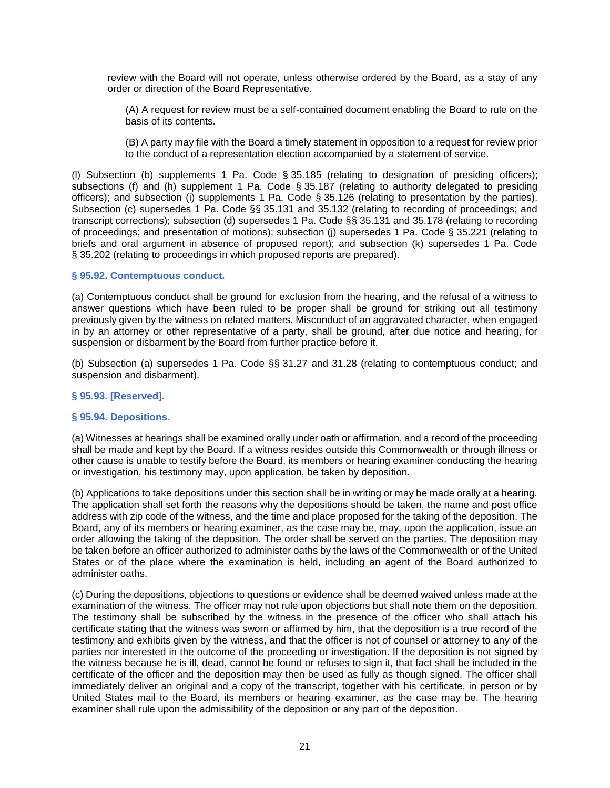review with the Board will not operate, unless otherwise ordered by the Board, as a stay of any order or direction of the Board Representative.

(A) A request for review must be a self-contained document enabling the Board to rule on the basis of its contents.

(B) A party may file with the Board a timely statement in opposition to a request for review prior to the conduct of a representation election accompanied by a statement of service.

(l) Subsection (b) supplements 1 Pa. Code § 35.185 (relating to designation of presiding officers); subsections (f) and (h) supplement 1 Pa. Code § 35.187 (relating to authority delegated to presiding officers); and subsection (i) supplements 1 Pa. Code § 35.126 (relating to presentation by the parties). Subsection (c) supersedes 1 Pa. Code §§ 35.131 and 35.132 (relating to recording of proceedings; and transcript corrections); subsection (d) supersedes 1 Pa. Code §§ 35.131 and 35.178 (relating to recording of proceedings; and presentation of motions); subsection (j) supersedes 1 Pa. Code § 35.221 (relating to briefs and oral argument in absence of proposed report); and subsection (k) supersedes 1 Pa. Code § 35.202 (relating to proceedings in which proposed reports are prepared).

### **§ 95.92. Contemptuous conduct.**

(a) Contemptuous conduct shall be ground for exclusion from the hearing, and the refusal of a witness to answer questions which have been ruled to be proper shall be ground for striking out all testimony previously given by the witness on related matters. Misconduct of an aggravated character, when engaged in by an attorney or other representative of a party, shall be ground, after due notice and hearing, for suspension or disbarment by the Board from further practice before it.

(b) Subsection (a) supersedes 1 Pa. Code §§ 31.27 and 31.28 (relating to contemptuous conduct; and suspension and disbarment).

### **§ 95.93. [Reserved].**

### **§ 95.94. Depositions.**

(a) Witnesses at hearings shall be examined orally under oath or affirmation, and a record of the proceeding shall be made and kept by the Board. If a witness resides outside this Commonwealth or through illness or other cause is unable to testify before the Board, its members or hearing examiner conducting the hearing or investigation, his testimony may, upon application, be taken by deposition.

(b) Applications to take depositions under this section shall be in writing or may be made orally at a hearing. The application shall set forth the reasons why the depositions should be taken, the name and post office address with zip code of the witness, and the time and place proposed for the taking of the deposition. The Board, any of its members or hearing examiner, as the case may be, may, upon the application, issue an order allowing the taking of the deposition. The order shall be served on the parties. The deposition may be taken before an officer authorized to administer oaths by the laws of the Commonwealth or of the United States or of the place where the examination is held, including an agent of the Board authorized to administer oaths.

(c) During the depositions, objections to questions or evidence shall be deemed waived unless made at the examination of the witness. The officer may not rule upon objections but shall note them on the deposition. The testimony shall be subscribed by the witness in the presence of the officer who shall attach his certificate stating that the witness was sworn or affirmed by him, that the deposition is a true record of the testimony and exhibits given by the witness, and that the officer is not of counsel or attorney to any of the parties nor interested in the outcome of the proceeding or investigation. If the deposition is not signed by the witness because he is ill, dead, cannot be found or refuses to sign it, that fact shall be included in the certificate of the officer and the deposition may then be used as fully as though signed. The officer shall immediately deliver an original and a copy of the transcript, together with his certificate, in person or by United States mail to the Board, its members or hearing examiner, as the case may be. The hearing examiner shall rule upon the admissibility of the deposition or any part of the deposition.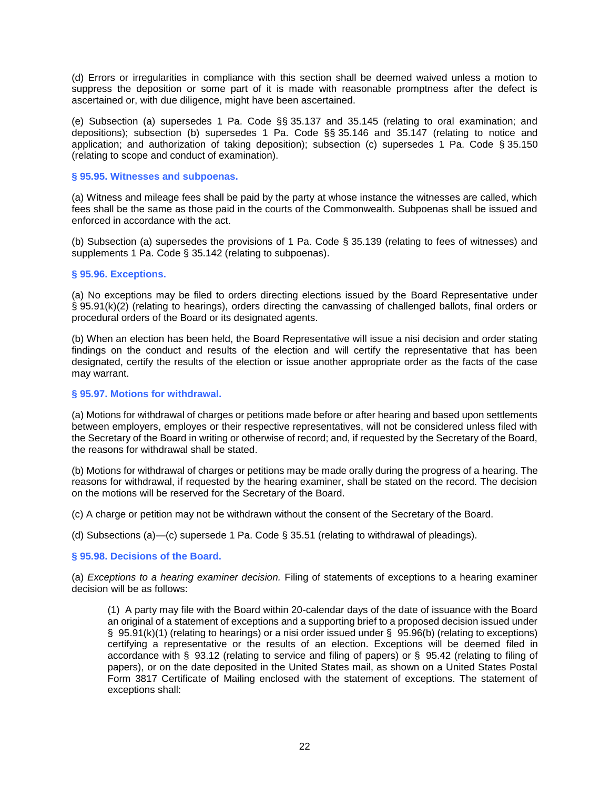(d) Errors or irregularities in compliance with this section shall be deemed waived unless a motion to suppress the deposition or some part of it is made with reasonable promptness after the defect is ascertained or, with due diligence, might have been ascertained.

(e) Subsection (a) supersedes 1 Pa. Code §§ 35.137 and 35.145 (relating to oral examination; and depositions); subsection (b) supersedes 1 Pa. Code §§ 35.146 and 35.147 (relating to notice and application; and authorization of taking deposition); subsection (c) supersedes 1 Pa. Code § 35.150 (relating to scope and conduct of examination).

### **§ 95.95. Witnesses and subpoenas.**

(a) Witness and mileage fees shall be paid by the party at whose instance the witnesses are called, which fees shall be the same as those paid in the courts of the Commonwealth. Subpoenas shall be issued and enforced in accordance with the act.

(b) Subsection (a) supersedes the provisions of 1 Pa. Code § 35.139 (relating to fees of witnesses) and supplements 1 Pa. Code § 35.142 (relating to subpoenas).

#### **§ 95.96. Exceptions.**

(a) No exceptions may be filed to orders directing elections issued by the Board Representative under § 95.91(k)(2) (relating to hearings), orders directing the canvassing of challenged ballots, final orders or procedural orders of the Board or its designated agents.

(b) When an election has been held, the Board Representative will issue a nisi decision and order stating findings on the conduct and results of the election and will certify the representative that has been designated, certify the results of the election or issue another appropriate order as the facts of the case may warrant.

#### **§ 95.97. Motions for withdrawal.**

(a) Motions for withdrawal of charges or petitions made before or after hearing and based upon settlements between employers, employes or their respective representatives, will not be considered unless filed with the Secretary of the Board in writing or otherwise of record; and, if requested by the Secretary of the Board, the reasons for withdrawal shall be stated.

(b) Motions for withdrawal of charges or petitions may be made orally during the progress of a hearing. The reasons for withdrawal, if requested by the hearing examiner, shall be stated on the record. The decision on the motions will be reserved for the Secretary of the Board.

(c) A charge or petition may not be withdrawn without the consent of the Secretary of the Board.

(d) Subsections (a)—(c) supersede 1 Pa. Code § 35.51 (relating to withdrawal of pleadings).

### **§ 95.98. Decisions of the Board.**

(a) *Exceptions to a hearing examiner decision.* Filing of statements of exceptions to a hearing examiner decision will be as follows:

(1) A party may file with the Board within 20-calendar days of the date of issuance with the Board an original of a statement of exceptions and a supporting brief to a proposed decision issued under § 95.91(k)(1) (relating to hearings) or a nisi order issued under § 95.96(b) (relating to exceptions) certifying a representative or the results of an election. Exceptions will be deemed filed in accordance with § 93.12 (relating to service and filing of papers) or § 95.42 (relating to filing of papers), or on the date deposited in the United States mail, as shown on a United States Postal Form 3817 Certificate of Mailing enclosed with the statement of exceptions. The statement of exceptions shall: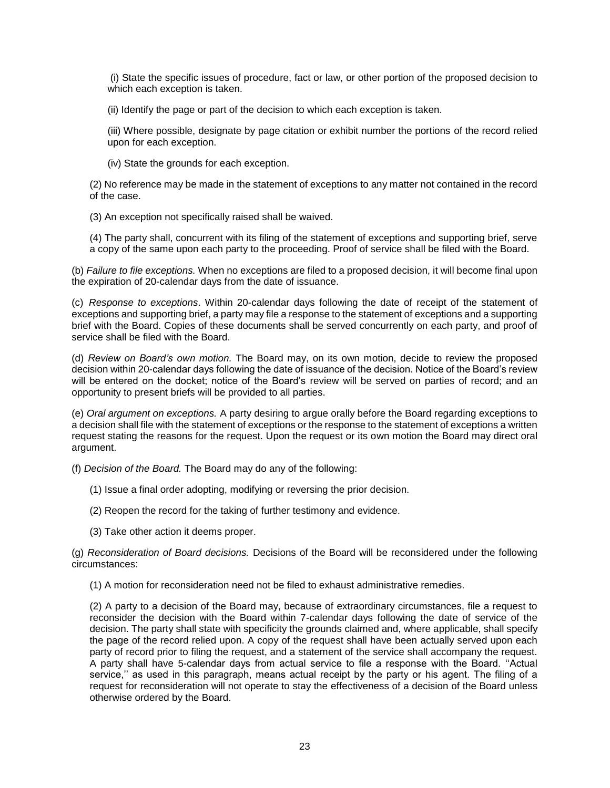(i) State the specific issues of procedure, fact or law, or other portion of the proposed decision to which each exception is taken.

(ii) Identify the page or part of the decision to which each exception is taken.

(iii) Where possible, designate by page citation or exhibit number the portions of the record relied upon for each exception.

(iv) State the grounds for each exception.

(2) No reference may be made in the statement of exceptions to any matter not contained in the record of the case.

(3) An exception not specifically raised shall be waived.

(4) The party shall, concurrent with its filing of the statement of exceptions and supporting brief, serve a copy of the same upon each party to the proceeding. Proof of service shall be filed with the Board.

(b) *Failure to file exceptions.* When no exceptions are filed to a proposed decision, it will become final upon the expiration of 20-calendar days from the date of issuance.

(c) *Response to exceptions*. Within 20-calendar days following the date of receipt of the statement of exceptions and supporting brief, a party may file a response to the statement of exceptions and a supporting brief with the Board. Copies of these documents shall be served concurrently on each party, and proof of service shall be filed with the Board.

(d) *Review on Board's own motion.* The Board may, on its own motion, decide to review the proposed decision within 20-calendar days following the date of issuance of the decision. Notice of the Board's review will be entered on the docket; notice of the Board's review will be served on parties of record; and an opportunity to present briefs will be provided to all parties.

(e) *Oral argument on exceptions.* A party desiring to argue orally before the Board regarding exceptions to a decision shall file with the statement of exceptions or the response to the statement of exceptions a written request stating the reasons for the request. Upon the request or its own motion the Board may direct oral argument.

(f) *Decision of the Board.* The Board may do any of the following:

- (1) Issue a final order adopting, modifying or reversing the prior decision.
- (2) Reopen the record for the taking of further testimony and evidence.
- (3) Take other action it deems proper.

(g) *Reconsideration of Board decisions.* Decisions of the Board will be reconsidered under the following circumstances:

(1) A motion for reconsideration need not be filed to exhaust administrative remedies.

(2) A party to a decision of the Board may, because of extraordinary circumstances, file a request to reconsider the decision with the Board within 7-calendar days following the date of service of the decision. The party shall state with specificity the grounds claimed and, where applicable, shall specify the page of the record relied upon. A copy of the request shall have been actually served upon each party of record prior to filing the request, and a statement of the service shall accompany the request. A party shall have 5-calendar days from actual service to file a response with the Board. ''Actual service,'' as used in this paragraph, means actual receipt by the party or his agent. The filing of a request for reconsideration will not operate to stay the effectiveness of a decision of the Board unless otherwise ordered by the Board.